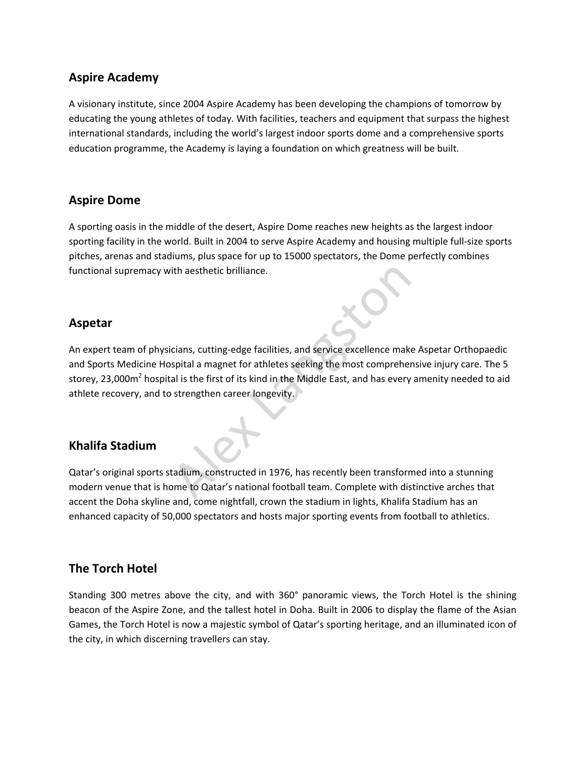## **Aspire Academy**

A visionary institute, since 2004 Aspire Academy has been developing the champions of tomorrow by educating the young athletes of today. With facilities, teachers and equipment that surpass the highest international standards, including the world's largest indoor sports dome and a comprehensive sports education programme, the Academy is laying a foundation on which greatness will be built.

## **Aspire Dome**

A sporting oasis in the middle of the desert, Aspire Dome reaches new heights as the largest indoor sporting facility in the world. Built in 2004 to serve Aspire Academy and housing multiple full-size sports pitches, arenas and stadiums, plus space for up to 15000 spectators, the Dome perfectly combines functional supremacy with aesthetic brilliance.

## **Aspetar**

An expert team of physicians, cutting-edge facilities, and service excellence make Aspetar Orthopaedic and Sports Medicine Hospital a magnet for athletes seeking the most comprehensive injury care. The 5 storey, 23,000m<sup>2</sup> hospital is the first of its kind in the Middle East, and has every amenity needed to aid athlete recovery, and to strengthen career longevity. ith aesthetic brilliance.<br>
Cians, cutting-edge facilities, and service excellence makespital a magnet for athletes seeking the most compreher<br>
al is the first of its kind in the Middle East, and has every<br>
strengthen caree

# **Khalifa Stadium**

Qatar's original sports stadium, constructed in 1976, has recently been transformed into a stunning modern venue that is home to Qatar's national football team. Complete with distinctive arches that accent the Doha skyline and, come nightfall, crown the stadium in lights, Khalifa Stadium has an enhanced capacity of 50,000 spectators and hosts major sporting events from football to athletics.

## **The Torch Hotel**

Standing 300 metres above the city, and with 360° panoramic views, the Torch Hotel is the shining beacon of the Aspire Zone, and the tallest hotel in Doha. Built in 2006 to display the flame of the Asian Games, the Torch Hotel is now a majestic symbol of Qatar's sporting heritage, and an illuminated icon of the city, in which discerning travellers can stay.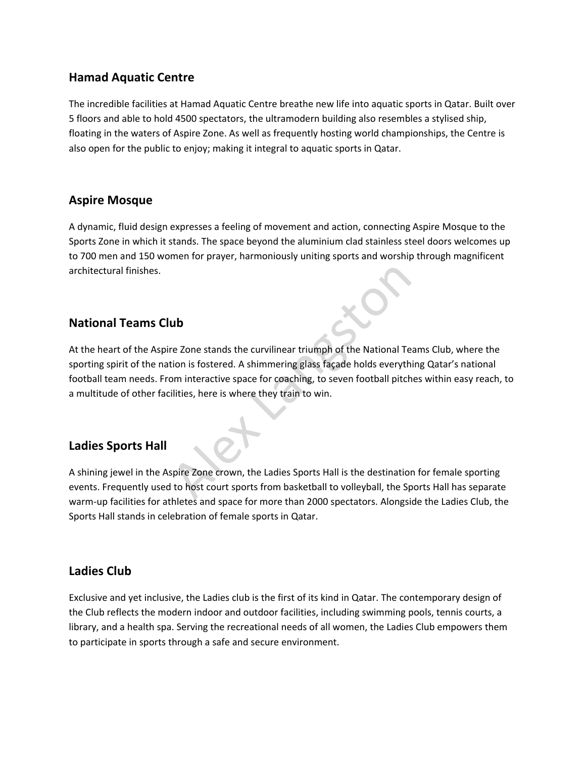## **Hamad Aquatic Centre**

The incredible facilities at Hamad Aquatic Centre breathe new life into aquatic sports in Qatar. Built over 5 floors and able to hold 4500 spectators, the ultramodern building also resembles a stylised ship, floating in the waters of Aspire Zone. As well as frequently hosting world championships, the Centre is also open for the public to enjoy; making it integral to aquatic sports in Qatar.

## **Aspire Mosque**

A dynamic, fluid design expresses a feeling of movement and action, connecting Aspire Mosque to the Sports Zone in which it stands. The space beyond the aluminium clad stainless steel doors welcomes up to 700 men and 150 women for prayer, harmoniously uniting sports and worship through magnificent architectural finishes.

# **National Teams Club**

At the heart of the Aspire Zone stands the curvilinear triumph of the National Teams Club, where the sporting spirit of the nation is fostered. A shimmering glass façade holds everything Qatar's national football team needs. From interactive space for coaching, to seven football pitches within easy reach, to a multitude of other facilities, here is where they train to win. **ub**<br>
re Zone stands the curvilinear triumph of the National Te<br>
tion is fostered. A shimmering glass façade holds everyth<br>
ilities, here is where they train to win.<br>
ilities, here is where they train to win.<br>
Spire Zone c

# **Ladies Sports Hall**

A shining jewel in the Aspire Zone crown, the Ladies Sports Hall is the destination for female sporting events. Frequently used to host court sports from basketball to volleyball, the Sports Hall has separate warm-up facilities for athletes and space for more than 2000 spectators. Alongside the Ladies Club, the Sports Hall stands in celebration of female sports in Qatar.

## **Ladies Club**

Exclusive and yet inclusive, the Ladies club is the first of its kind in Qatar. The contemporary design of the Club reflects the modern indoor and outdoor facilities, including swimming pools, tennis courts, a library, and a health spa. Serving the recreational needs of all women, the Ladies Club empowers them to participate in sports through a safe and secure environment.